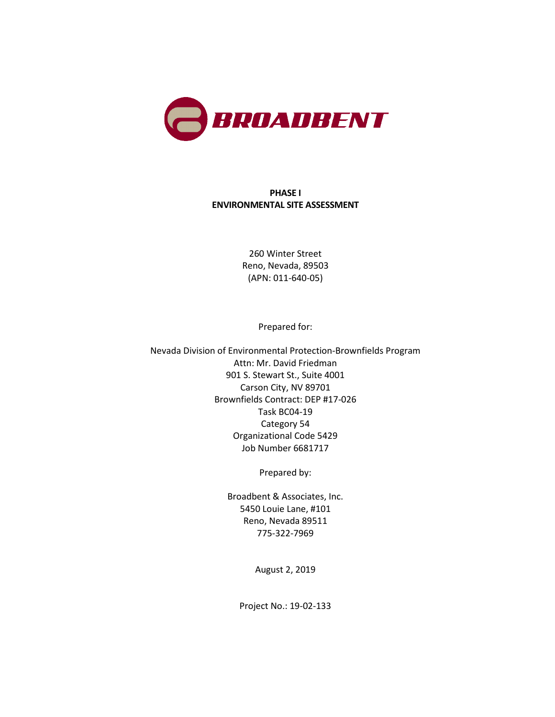

### **PHASE I ENVIRONMENTAL SITE ASSESSMENT**

260 Winter Street Reno, Nevada, 89503 (APN: 011-640-05)

Prepared for:

Nevada Division of Environmental Protection-Brownfields Program Attn: Mr. David Friedman 901 S. Stewart St., Suite 4001 Carson City, NV 89701 Brownfields Contract: DEP #17-026 Task BC04-19 Category 54 Organizational Code 5429 Job Number 6681717

Prepared by:

Broadbent & Associates, Inc. 5450 Louie Lane, #101 Reno, Nevada 89511 775-322-7969

August 2, 2019

Project No.: 19-02-133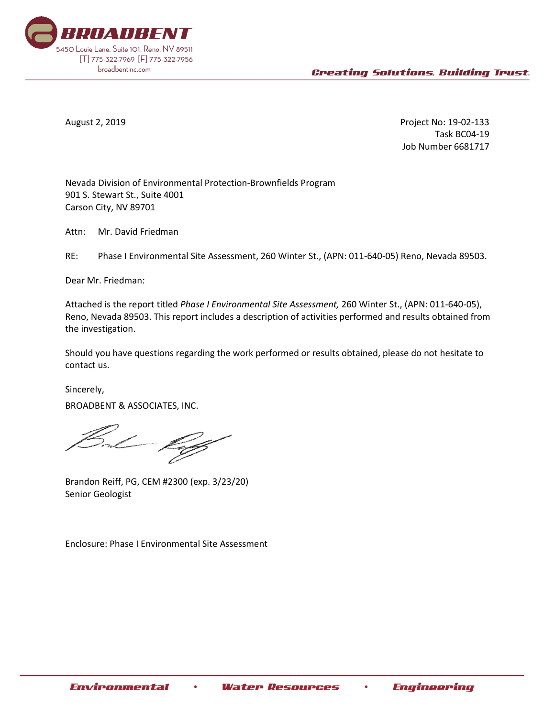

August 2, 2019 Project No: 19-02-133 Task BC04-19 Job Number 6681717

Nevada Division of Environmental Protection-Brownfields Program 901 S. Stewart St., Suite 4001 Carson City, NV 89701

Attn: Mr. David Friedman

RE: Phase I Environmental Site Assessment, 260 Winter St., (APN: 011-640-05) Reno, Nevada 89503.

Dear Mr. Friedman:

Attached is the report titled *Phase I Environmental Site Assessment,* 260 Winter St., (APN: 011-640-05), Reno, Nevada 89503. This report includes a description of activities performed and results obtained from the investigation.

Should you have questions regarding the work performed or results obtained, please do not hesitate to contact us.

Sincerely, BROADBENT & ASSOCIATES, INC.

Brandon Reiff, PG, CEM #2300 (exp. 3/23/20) Senior Geologist

Enclosure: Phase I Environmental Site Assessment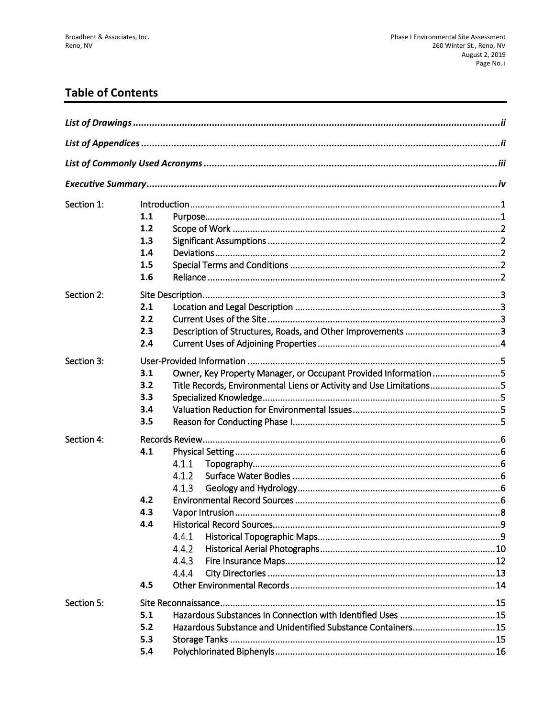# **Table of Contents**

| Section 1: | 1.1<br>1.2<br>1.3<br>1.4                                                                                                                                                  |
|------------|---------------------------------------------------------------------------------------------------------------------------------------------------------------------------|
|            | 1.5<br>1.6                                                                                                                                                                |
| Section 2: | 2.1<br>2.2<br>2.3<br>2.4                                                                                                                                                  |
| Section 3: | Owner, Key Property Manager, or Occupant Provided Information 5<br>3.1<br>Title Records, Environmental Liens or Activity and Use Limitations5<br>3.2<br>3.3<br>3.4<br>3.5 |
| Section 4: | 4.1<br>4.1.1<br>4.1.2<br>4.1.3<br>4.2<br>4.3<br>4.4<br>4.4.1<br>4.4.2<br>4.4.3<br>4.4.4<br>4.5                                                                            |
| Section 5: | 5.1<br>Hazardous Substance and Unidentified Substance Containers15<br>5.2<br>5.3<br>5.4                                                                                   |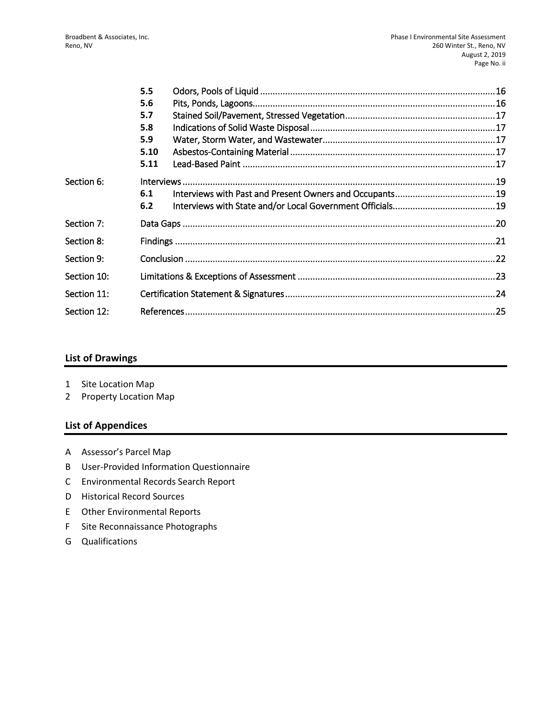|             | 5.5  |  |  |
|-------------|------|--|--|
|             | 5.6  |  |  |
|             | 5.7  |  |  |
|             | 5.8  |  |  |
|             | 5.9  |  |  |
|             | 5.10 |  |  |
|             | 5.11 |  |  |
| Section 6:  |      |  |  |
|             | 6.1  |  |  |
|             | 6.2  |  |  |
| Section 7:  |      |  |  |
| Section 8:  |      |  |  |
| Section 9:  |      |  |  |
| Section 10: |      |  |  |
| Section 11: |      |  |  |
| Section 12: |      |  |  |

### **List of Drawings**

- 1 Site Location Map
- 2 Property Location Map

### **List of Appendices**

- A Assessor's Parcel Map
- B User-Provided Information Questionnaire
- C Environmental Records Search Report
- D Historical Record Sources
- E Other Environmental Reports
- F Site Reconnaissance Photographs
- G Qualifications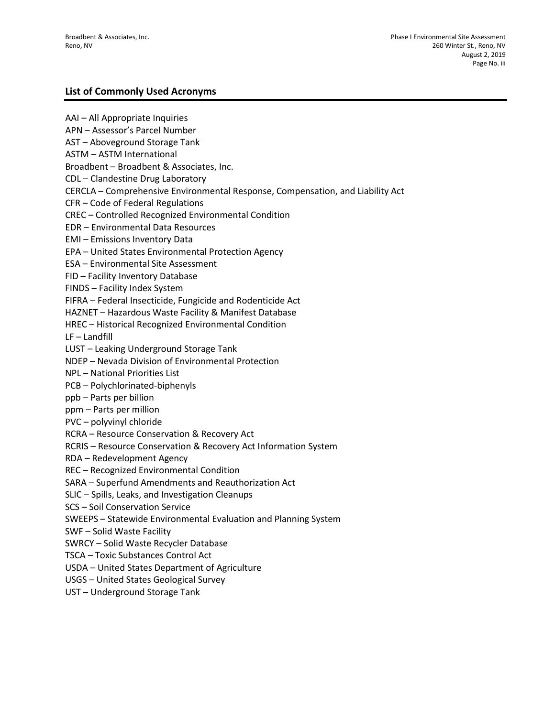### **List of Commonly Used Acronyms**

AAI – All Appropriate Inquiries APN – Assessor's Parcel Number AST – Aboveground Storage Tank ASTM – ASTM International Broadbent – Broadbent & Associates, Inc. CDL – Clandestine Drug Laboratory CERCLA – Comprehensive Environmental Response, Compensation, and Liability Act CFR – Code of Federal Regulations CREC – Controlled Recognized Environmental Condition EDR – Environmental Data Resources EMI – Emissions Inventory Data EPA – United States Environmental Protection Agency ESA – Environmental Site Assessment FID – Facility Inventory Database FINDS – Facility Index System FIFRA – Federal Insecticide, Fungicide and Rodenticide Act HAZNET – Hazardous Waste Facility & Manifest Database HREC – Historical Recognized Environmental Condition LF – Landfill LUST – Leaking Underground Storage Tank NDEP – Nevada Division of Environmental Protection NPL – National Priorities List PCB – Polychlorinated-biphenyls ppb – Parts per billion ppm – Parts per million PVC – polyvinyl chloride RCRA – Resource Conservation & Recovery Act RCRIS – Resource Conservation & Recovery Act Information System RDA – Redevelopment Agency REC – Recognized Environmental Condition SARA – Superfund Amendments and Reauthorization Act SLIC – Spills, Leaks, and Investigation Cleanups SCS – Soil Conservation Service SWEEPS – Statewide Environmental Evaluation and Planning System SWF – Solid Waste Facility SWRCY – Solid Waste Recycler Database TSCA – Toxic Substances Control Act USDA – United States Department of Agriculture USGS – United States Geological Survey UST – Underground Storage Tank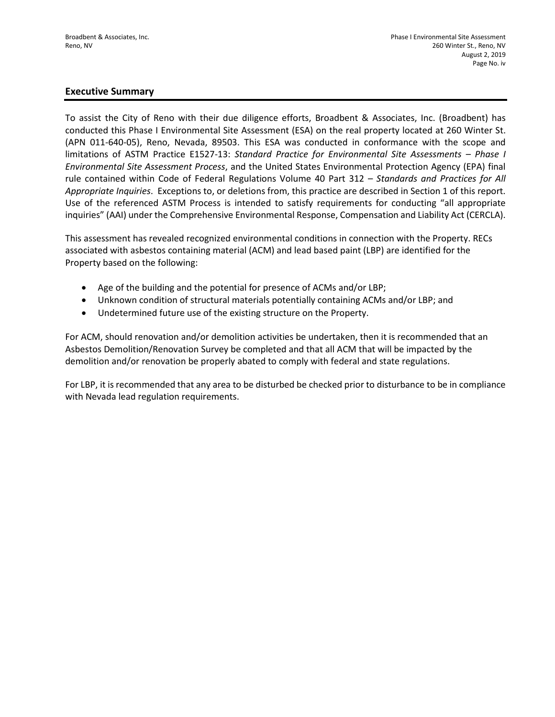### **Executive Summary**

To assist the City of Reno with their due diligence efforts, Broadbent & Associates, Inc. (Broadbent) has conducted this Phase I Environmental Site Assessment (ESA) on the real property located at 260 Winter St. (APN 011-640-05), Reno, Nevada, 89503. This ESA was conducted in conformance with the scope and limitations of ASTM Practice E1527-13: *Standard Practice for Environmental Site Assessments – Phase I Environmental Site Assessment Process*, and the United States Environmental Protection Agency (EPA) final rule contained within Code of Federal Regulations Volume 40 Part 312 – *Standards and Practices for All Appropriate Inquiries*. Exceptions to, or deletions from, this practice are described in Section 1 of this report. Use of the referenced ASTM Process is intended to satisfy requirements for conducting "all appropriate inquiries" (AAI) under the Comprehensive Environmental Response, Compensation and Liability Act (CERCLA).

This assessment has revealed recognized environmental conditions in connection with the Property. RECs associated with asbestos containing material (ACM) and lead based paint (LBP) are identified for the Property based on the following:

- Age of the building and the potential for presence of ACMs and/or LBP;
- Unknown condition of structural materials potentially containing ACMs and/or LBP; and
- Undetermined future use of the existing structure on the Property.

For ACM, should renovation and/or demolition activities be undertaken, then it is recommended that an Asbestos Demolition/Renovation Survey be completed and that all ACM that will be impacted by the demolition and/or renovation be properly abated to comply with federal and state regulations.

For LBP, it is recommended that any area to be disturbed be checked prior to disturbance to be in compliance with Nevada lead regulation requirements.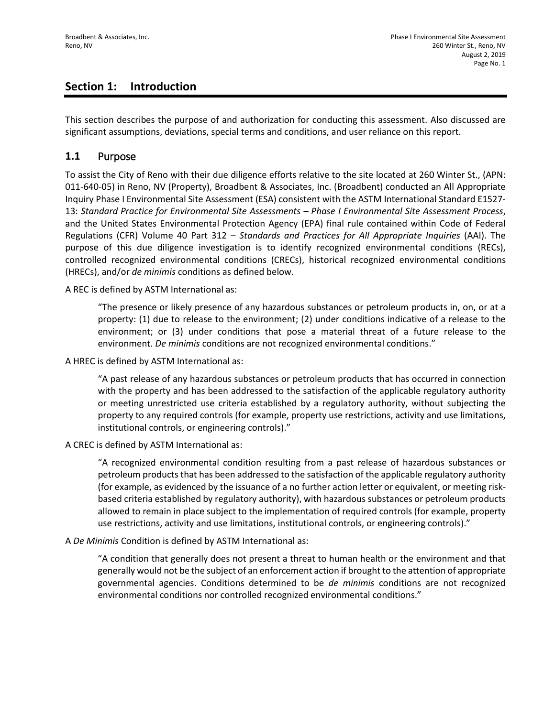## **Section 1: Introduction**

This section describes the purpose of and authorization for conducting this assessment. Also discussed are significant assumptions, deviations, special terms and conditions, and user reliance on this report.

### **1.1** Purpose

To assist the City of Reno with their due diligence efforts relative to the site located at 260 Winter St., (APN: 011-640-05) in Reno, NV (Property), Broadbent & Associates, Inc. (Broadbent) conducted an All Appropriate Inquiry Phase I Environmental Site Assessment (ESA) consistent with the ASTM International Standard E1527- 13: *Standard Practice for Environmental Site Assessments – Phase I Environmental Site Assessment Process*, and the United States Environmental Protection Agency (EPA) final rule contained within Code of Federal Regulations (CFR) Volume 40 Part 312 – *Standards and Practices for All Appropriate Inquiries* (AAI). The purpose of this due diligence investigation is to identify recognized environmental conditions (RECs), controlled recognized environmental conditions (CRECs), historical recognized environmental conditions (HRECs), and/or *de minimis* conditions as defined below.

A REC is defined by ASTM International as:

"The presence or likely presence of any hazardous substances or petroleum products in, on, or at a property: (1) due to release to the environment; (2) under conditions indicative of a release to the environment; or (3) under conditions that pose a material threat of a future release to the environment. *De minimis* conditions are not recognized environmental conditions."

A HREC is defined by ASTM International as:

"A past release of any hazardous substances or petroleum products that has occurred in connection with the property and has been addressed to the satisfaction of the applicable regulatory authority or meeting unrestricted use criteria established by a regulatory authority, without subjecting the property to any required controls (for example, property use restrictions, activity and use limitations, institutional controls, or engineering controls)."

A CREC is defined by ASTM International as:

"A recognized environmental condition resulting from a past release of hazardous substances or petroleum products that has been addressed to the satisfaction of the applicable regulatory authority (for example, as evidenced by the issuance of a no further action letter or equivalent, or meeting riskbased criteria established by regulatory authority), with hazardous substances or petroleum products allowed to remain in place subject to the implementation of required controls (for example, property use restrictions, activity and use limitations, institutional controls, or engineering controls)."

A *De Minimis* Condition is defined by ASTM International as:

"A condition that generally does not present a threat to human health or the environment and that generally would not be the subject of an enforcement action if brought to the attention of appropriate governmental agencies. Conditions determined to be *de minimis* conditions are not recognized environmental conditions nor controlled recognized environmental conditions."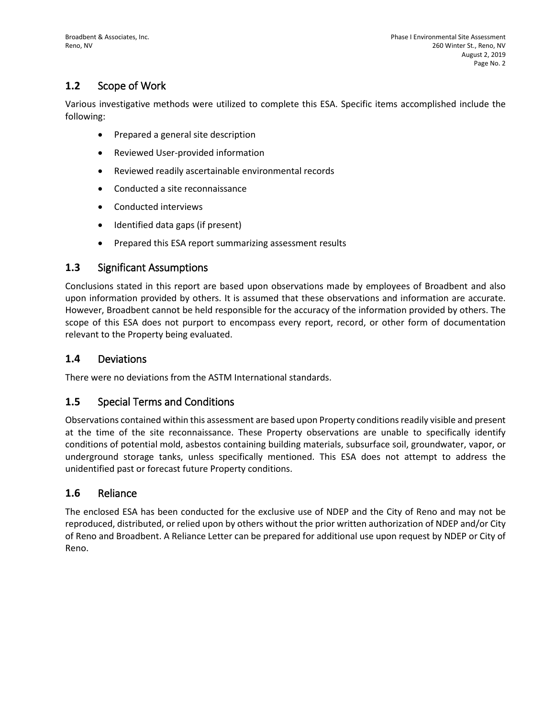# **1.2** Scope of Work

Various investigative methods were utilized to complete this ESA. Specific items accomplished include the following:

- Prepared a general site description
- Reviewed User-provided information
- Reviewed readily ascertainable environmental records
- Conducted a site reconnaissance
- Conducted interviews
- Identified data gaps (if present)
- Prepared this ESA report summarizing assessment results

### **1.3** Significant Assumptions

Conclusions stated in this report are based upon observations made by employees of Broadbent and also upon information provided by others. It is assumed that these observations and information are accurate. However, Broadbent cannot be held responsible for the accuracy of the information provided by others. The scope of this ESA does not purport to encompass every report, record, or other form of documentation relevant to the Property being evaluated.

### **1.4** Deviations

There were no deviations from the ASTM International standards.

### **1.5** Special Terms and Conditions

Observations contained within this assessment are based upon Property conditions readily visible and present at the time of the site reconnaissance. These Property observations are unable to specifically identify conditions of potential mold, asbestos containing building materials, subsurface soil, groundwater, vapor, or underground storage tanks, unless specifically mentioned. This ESA does not attempt to address the unidentified past or forecast future Property conditions.

### **1.6** Reliance

The enclosed ESA has been conducted for the exclusive use of NDEP and the City of Reno and may not be reproduced, distributed, or relied upon by others without the prior written authorization of NDEP and/or City of Reno and Broadbent. A Reliance Letter can be prepared for additional use upon request by NDEP or City of Reno.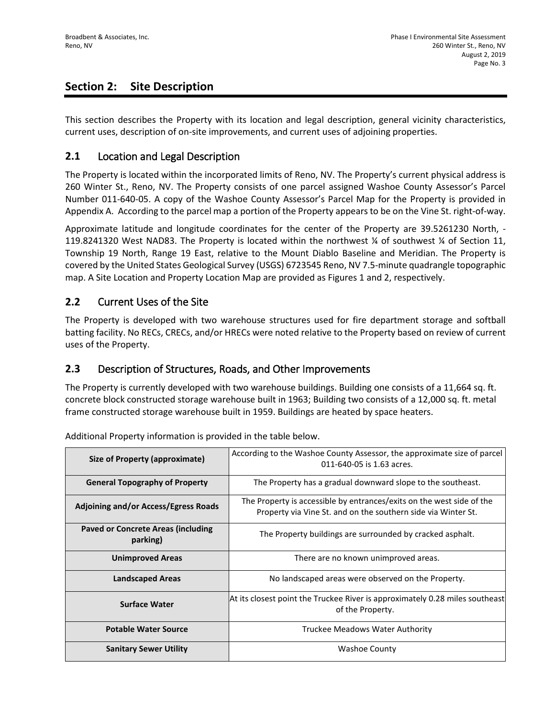# **Section 2: Site Description**

This section describes the Property with its location and legal description, general vicinity characteristics, current uses, description of on-site improvements, and current uses of adjoining properties.

### **2.1** Location and Legal Description

The Property is located within the incorporated limits of Reno, NV. The Property's current physical address is 260 Winter St., Reno, NV. The Property consists of one parcel assigned Washoe County Assessor's Parcel Number 011-640-05. A copy of the Washoe County Assessor's Parcel Map for the Property is provided in Appendix A. According to the parcel map a portion of the Property appears to be on the Vine St. right-of-way.

Approximate latitude and longitude coordinates for the center of the Property are 39.5261230 North, - 119.8241320 West NAD83. The Property is located within the northwest ¼ of southwest ¼ of Section 11, Township 19 North, Range 19 East, relative to the Mount Diablo Baseline and Meridian. The Property is covered by the United States Geological Survey (USGS) 6723545 Reno, NV 7.5-minute quadrangle topographic map. A Site Location and Property Location Map are provided as Figures 1 and 2, respectively.

### **2.2** Current Uses of the Site

The Property is developed with two warehouse structures used for fire department storage and softball batting facility. No RECs, CRECs, and/or HRECs were noted relative to the Property based on review of current uses of the Property.

### **2.3** Description of Structures, Roads, and Other Improvements

The Property is currently developed with two warehouse buildings. Building one consists of a 11,664 sq. ft. concrete block constructed storage warehouse built in 1963; Building two consists of a 12,000 sq. ft. metal frame constructed storage warehouse built in 1959. Buildings are heated by space heaters.

**Size of Property (approximate)** According to the Washoe County Assessor, the approximate size of parcel 011-640-05 is 1.63 acres. **General Topography of Property** The Property has a gradual downward slope to the southeast. **Adjoining and/or Access/Egress Roads** The Property is accessible by entrances/exits on the west side of the Property via Vine St. and on the southern side via Winter St. **Paved or Concrete Areas (including parking)** The Property buildings are surrounded by cracked asphalt. **Unimproved Areas There are no known unimproved areas. Landscaped Areas** No landscaped areas were observed on the Property. **Surface Water** At its closest point the Truckee River is approximately 0.28 miles southeast of the Property. **Potable Water Source Truckee Meadows Water Authority Sanitary Sewer Utility Access 20 Access 20 Access 20 Access 20 Access 20 Access 20 Access 20 Access 20 Access** 

Additional Property information is provided in the table below.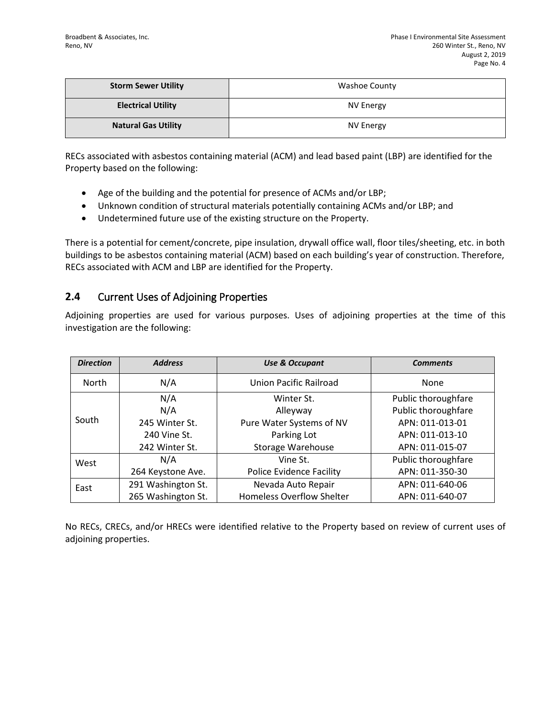| <b>Storm Sewer Utility</b> | <b>Washoe County</b> |
|----------------------------|----------------------|
| <b>Electrical Utility</b>  | NV Energy            |
| <b>Natural Gas Utility</b> | <b>NV Energy</b>     |

RECs associated with asbestos containing material (ACM) and lead based paint (LBP) are identified for the Property based on the following:

- Age of the building and the potential for presence of ACMs and/or LBP;
- Unknown condition of structural materials potentially containing ACMs and/or LBP; and
- Undetermined future use of the existing structure on the Property.

There is a potential for cement/concrete, pipe insulation, drywall office wall, floor tiles/sheeting, etc. in both buildings to be asbestos containing material (ACM) based on each building's year of construction. Therefore, RECs associated with ACM and LBP are identified for the Property.

### **2.4** Current Uses of Adjoining Properties

Adjoining properties are used for various purposes. Uses of adjoining properties at the time of this investigation are the following:

| <b>Direction</b> | <b>Address</b>     | <b>Use &amp; Occupant</b>        | <b>Comments</b>     |
|------------------|--------------------|----------------------------------|---------------------|
| <b>North</b>     | N/A                | Union Pacific Railroad           | None                |
|                  | N/A                | Winter St.                       | Public thoroughfare |
|                  | N/A                | Alleyway                         | Public thoroughfare |
| South            | 245 Winter St.     | Pure Water Systems of NV         | APN: 011-013-01     |
|                  | 240 Vine St.       | Parking Lot                      | APN: 011-013-10     |
|                  | 242 Winter St.     | Storage Warehouse                | APN: 011-015-07     |
| West             | N/A                | Vine St.                         | Public thoroughfare |
|                  | 264 Keystone Ave.  | <b>Police Evidence Facility</b>  | APN: 011-350-30     |
| East             | 291 Washington St. | Nevada Auto Repair               | APN: 011-640-06     |
|                  | 265 Washington St. | <b>Homeless Overflow Shelter</b> | APN: 011-640-07     |

No RECs, CRECs, and/or HRECs were identified relative to the Property based on review of current uses of adjoining properties.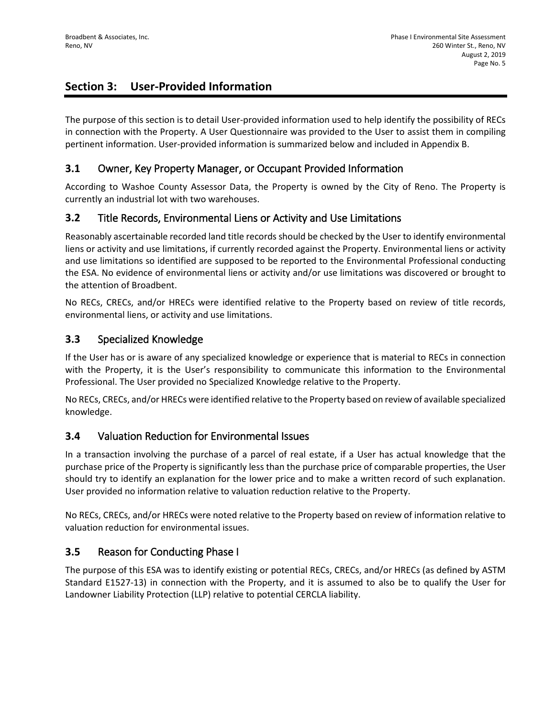# **Section 3: User-Provided Information**

The purpose of this section is to detail User-provided information used to help identify the possibility of RECs in connection with the Property. A User Questionnaire was provided to the User to assist them in compiling pertinent information. User-provided information is summarized below and included in Appendix B.

### **3.1** Owner, Key Property Manager, or Occupant Provided Information

According to Washoe County Assessor Data, the Property is owned by the City of Reno. The Property is currently an industrial lot with two warehouses.

## **3.2** Title Records, Environmental Liens or Activity and Use Limitations

Reasonably ascertainable recorded land title records should be checked by the User to identify environmental liens or activity and use limitations, if currently recorded against the Property. Environmental liens or activity and use limitations so identified are supposed to be reported to the Environmental Professional conducting the ESA. No evidence of environmental liens or activity and/or use limitations was discovered or brought to the attention of Broadbent.

No RECs, CRECs, and/or HRECs were identified relative to the Property based on review of title records, environmental liens, or activity and use limitations.

### **3.3** Specialized Knowledge

If the User has or is aware of any specialized knowledge or experience that is material to RECs in connection with the Property, it is the User's responsibility to communicate this information to the Environmental Professional. The User provided no Specialized Knowledge relative to the Property.

No RECs, CRECs, and/or HRECs were identified relative to the Property based on review of available specialized knowledge.

### **3.4** Valuation Reduction for Environmental Issues

In a transaction involving the purchase of a parcel of real estate, if a User has actual knowledge that the purchase price of the Property is significantly less than the purchase price of comparable properties, the User should try to identify an explanation for the lower price and to make a written record of such explanation. User provided no information relative to valuation reduction relative to the Property.

No RECs, CRECs, and/or HRECs were noted relative to the Property based on review of information relative to valuation reduction for environmental issues.

## **3.5** Reason for Conducting Phase I

The purpose of this ESA was to identify existing or potential RECs, CRECs, and/or HRECs (as defined by ASTM Standard E1527-13) in connection with the Property, and it is assumed to also be to qualify the User for Landowner Liability Protection (LLP) relative to potential CERCLA liability.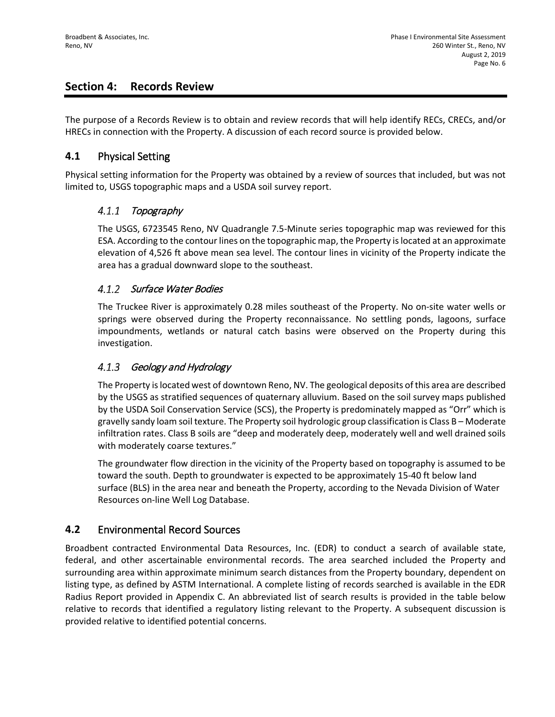## **Section 4: Records Review**

The purpose of a Records Review is to obtain and review records that will help identify RECs, CRECs, and/or HRECs in connection with the Property. A discussion of each record source is provided below.

### **4.1** Physical Setting

Physical setting information for the Property was obtained by a review of sources that included, but was not limited to, USGS topographic maps and a USDA soil survey report.

#### $4.1.1$ Topography

The USGS, 6723545 Reno, NV Quadrangle 7.5-Minute series topographic map was reviewed for this ESA. According to the contour lines on the topographic map, the Property is located at an approximate elevation of 4,526 ft above mean sea level. The contour lines in vicinity of the Property indicate the area has a gradual downward slope to the southeast.

### 4.1.2 Surface Water Bodies

The Truckee River is approximately 0.28 miles southeast of the Property. No on-site water wells or springs were observed during the Property reconnaissance. No settling ponds, lagoons, surface impoundments, wetlands or natural catch basins were observed on the Property during this investigation.

#### $4.1.3$ Geology and Hydrology

The Property is located west of downtown Reno, NV. The geological deposits of this area are described by the USGS as stratified sequences of quaternary alluvium. Based on the soil survey maps published by the USDA Soil Conservation Service (SCS), the Property is predominately mapped as "Orr" which is gravelly sandy loam soil texture. The Property soil hydrologic group classification is Class B – Moderate infiltration rates. Class B soils are "deep and moderately deep, moderately well and well drained soils with moderately coarse textures."

The groundwater flow direction in the vicinity of the Property based on topography is assumed to be toward the south. Depth to groundwater is expected to be approximately 15-40 ft below land surface (BLS) in the area near and beneath the Property, according to the Nevada Division of Water Resources on-line Well Log Database.

## **4.2** Environmental Record Sources

Broadbent contracted Environmental Data Resources, Inc. (EDR) to conduct a search of available state, federal, and other ascertainable environmental records. The area searched included the Property and surrounding area within approximate minimum search distances from the Property boundary, dependent on listing type, as defined by ASTM International. A complete listing of records searched is available in the EDR Radius Report provided in Appendix C. An abbreviated list of search results is provided in the table below relative to records that identified a regulatory listing relevant to the Property. A subsequent discussion is provided relative to identified potential concerns.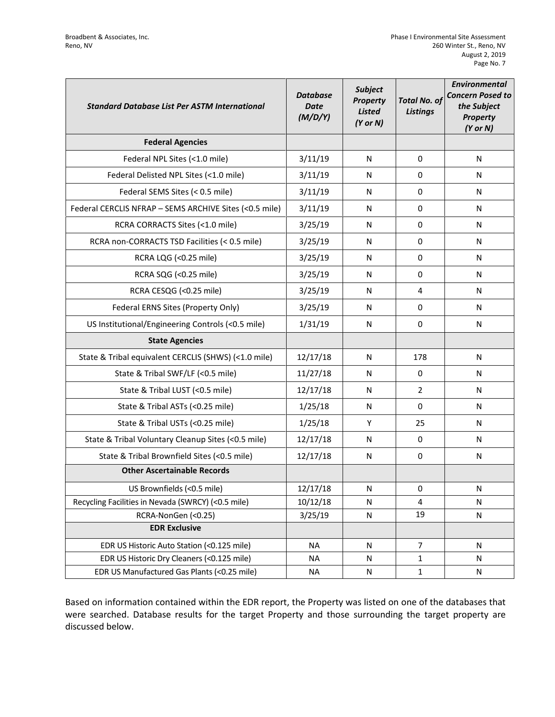| <b>Standard Database List Per ASTM International</b>   | <b>Database</b><br><b>Date</b><br>(M/D/Y) | <b>Subject</b><br>Property<br><b>Listed</b><br>$(Y$ or $N)$ | <b>Total No. of</b><br><b>Listings</b> | <b>Environmental</b><br><b>Concern Posed to</b><br>the Subject<br><b>Property</b><br>$(Y$ or $N)$ |
|--------------------------------------------------------|-------------------------------------------|-------------------------------------------------------------|----------------------------------------|---------------------------------------------------------------------------------------------------|
| <b>Federal Agencies</b>                                |                                           |                                                             |                                        |                                                                                                   |
| Federal NPL Sites (<1.0 mile)                          | 3/11/19                                   | N                                                           | 0                                      | N                                                                                                 |
| Federal Delisted NPL Sites (<1.0 mile)                 | 3/11/19                                   | N                                                           | 0                                      | N                                                                                                 |
| Federal SEMS Sites (< 0.5 mile)                        | 3/11/19                                   | N                                                           | 0                                      | N                                                                                                 |
| Federal CERCLIS NFRAP - SEMS ARCHIVE Sites (<0.5 mile) | 3/11/19                                   | N                                                           | 0                                      | N                                                                                                 |
| RCRA CORRACTS Sites (<1.0 mile)                        | 3/25/19                                   | N                                                           | 0                                      | N                                                                                                 |
| RCRA non-CORRACTS TSD Facilities (< 0.5 mile)          | 3/25/19                                   | N                                                           | 0                                      | N                                                                                                 |
| RCRA LQG (<0.25 mile)                                  | 3/25/19                                   | N                                                           | 0                                      | N                                                                                                 |
| RCRA SQG (<0.25 mile)                                  | 3/25/19                                   | N                                                           | 0                                      | N                                                                                                 |
| RCRA CESQG (<0.25 mile)                                | 3/25/19                                   | N                                                           | 4                                      | N                                                                                                 |
| Federal ERNS Sites (Property Only)                     | 3/25/19                                   | N                                                           | 0                                      | N                                                                                                 |
| US Institutional/Engineering Controls (<0.5 mile)      | 1/31/19                                   | N                                                           | 0                                      | N                                                                                                 |
| <b>State Agencies</b>                                  |                                           |                                                             |                                        |                                                                                                   |
| State & Tribal equivalent CERCLIS (SHWS) (<1.0 mile)   | 12/17/18                                  | N                                                           | 178                                    | N                                                                                                 |
| State & Tribal SWF/LF (<0.5 mile)                      | 11/27/18                                  | N                                                           | 0                                      | N                                                                                                 |
| State & Tribal LUST (<0.5 mile)                        | 12/17/18                                  | N                                                           | $\overline{2}$                         | N                                                                                                 |
| State & Tribal ASTs (<0.25 mile)                       | 1/25/18                                   | N                                                           | 0                                      | N                                                                                                 |
| State & Tribal USTs (<0.25 mile)                       | 1/25/18                                   | Y                                                           | 25                                     | N                                                                                                 |
| State & Tribal Voluntary Cleanup Sites (<0.5 mile)     | 12/17/18                                  | N                                                           | 0                                      | N                                                                                                 |
| State & Tribal Brownfield Sites (<0.5 mile)            | 12/17/18                                  | N                                                           | 0                                      | N                                                                                                 |
| <b>Other Ascertainable Records</b>                     |                                           |                                                             |                                        |                                                                                                   |
| US Brownfields (<0.5 mile)                             | 12/17/18                                  | N                                                           | 0                                      | N                                                                                                 |
| Recycling Facilities in Nevada (SWRCY) (<0.5 mile)     | 10/12/18                                  | N                                                           | 4                                      | N                                                                                                 |
| RCRA-NonGen (<0.25)                                    | 3/25/19                                   | ${\sf N}$                                                   | 19                                     | N                                                                                                 |
| <b>EDR Exclusive</b>                                   |                                           |                                                             |                                        |                                                                                                   |
| EDR US Historic Auto Station (<0.125 mile)             | <b>NA</b>                                 | N                                                           | $\overline{7}$                         | N                                                                                                 |
| EDR US Historic Dry Cleaners (<0.125 mile)             | <b>NA</b>                                 | N                                                           | $\mathbf{1}$                           | N                                                                                                 |
| EDR US Manufactured Gas Plants (<0.25 mile)            | <b>NA</b>                                 | N                                                           | 1                                      | N                                                                                                 |

Based on information contained within the EDR report, the Property was listed on one of the databases that were searched. Database results for the target Property and those surrounding the target property are discussed below.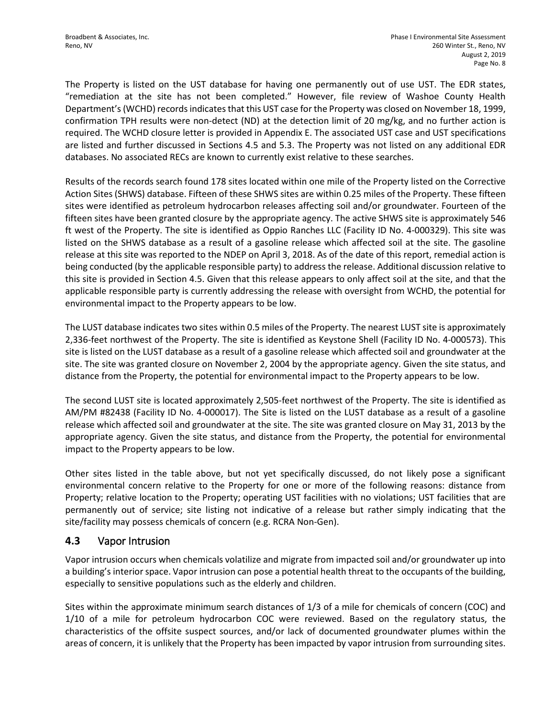The Property is listed on the UST database for having one permanently out of use UST. The EDR states, "remediation at the site has not been completed." However, file review of Washoe County Health Department's (WCHD) records indicates that this UST case for the Property was closed on November 18, 1999, confirmation TPH results were non-detect (ND) at the detection limit of 20 mg/kg, and no further action is required. The WCHD closure letter is provided in Appendix E. The associated UST case and UST specifications are listed and further discussed in Sections 4.5 and 5.3. The Property was not listed on any additional EDR databases. No associated RECs are known to currently exist relative to these searches.

Results of the records search found 178 sites located within one mile of the Property listed on the Corrective Action Sites (SHWS) database. Fifteen of these SHWS sites are within 0.25 miles of the Property. These fifteen sites were identified as petroleum hydrocarbon releases affecting soil and/or groundwater. Fourteen of the fifteen sites have been granted closure by the appropriate agency. The active SHWS site is approximately 546 ft west of the Property. The site is identified as Oppio Ranches LLC (Facility ID No. 4-000329). This site was listed on the SHWS database as a result of a gasoline release which affected soil at the site. The gasoline release at this site was reported to the NDEP on April 3, 2018. As of the date of this report, remedial action is being conducted (by the applicable responsible party) to address the release. Additional discussion relative to this site is provided in Section 4.5. Given that this release appears to only affect soil at the site, and that the applicable responsible party is currently addressing the release with oversight from WCHD, the potential for environmental impact to the Property appears to be low.

The LUST database indicates two sites within 0.5 miles of the Property. The nearest LUST site is approximately 2,336-feet northwest of the Property. The site is identified as Keystone Shell (Facility ID No. 4-000573). This site is listed on the LUST database as a result of a gasoline release which affected soil and groundwater at the site. The site was granted closure on November 2, 2004 by the appropriate agency. Given the site status, and distance from the Property, the potential for environmental impact to the Property appears to be low.

The second LUST site is located approximately 2,505-feet northwest of the Property. The site is identified as AM/PM #82438 (Facility ID No. 4-000017). The Site is listed on the LUST database as a result of a gasoline release which affected soil and groundwater at the site. The site was granted closure on May 31, 2013 by the appropriate agency. Given the site status, and distance from the Property, the potential for environmental impact to the Property appears to be low.

Other sites listed in the table above, but not yet specifically discussed, do not likely pose a significant environmental concern relative to the Property for one or more of the following reasons: distance from Property; relative location to the Property; operating UST facilities with no violations; UST facilities that are permanently out of service; site listing not indicative of a release but rather simply indicating that the site/facility may possess chemicals of concern (e.g. RCRA Non-Gen).

### **4.3** Vapor Intrusion

Vapor intrusion occurs when chemicals volatilize and migrate from impacted soil and/or groundwater up into a building's interior space. Vapor intrusion can pose a potential health threat to the occupants of the building, especially to sensitive populations such as the elderly and children.

Sites within the approximate minimum search distances of 1/3 of a mile for chemicals of concern (COC) and 1/10 of a mile for petroleum hydrocarbon COC were reviewed. Based on the regulatory status, the characteristics of the offsite suspect sources, and/or lack of documented groundwater plumes within the areas of concern, it is unlikely that the Property has been impacted by vapor intrusion from surrounding sites.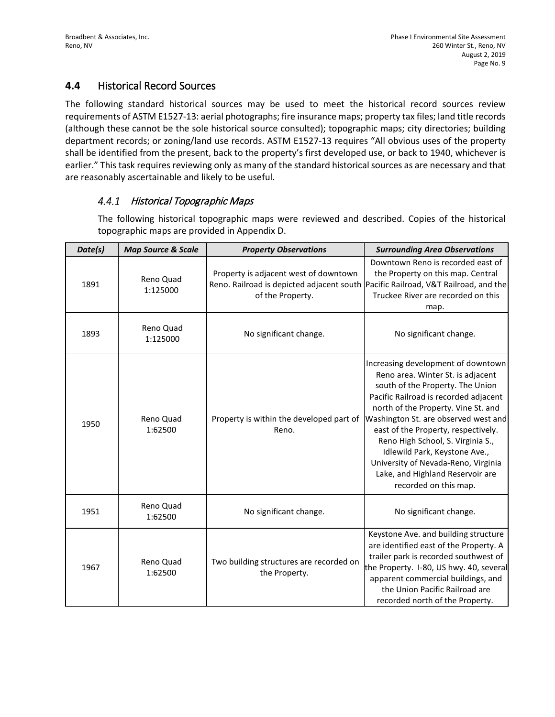## **4.4** Historical Record Sources

The following standard historical sources may be used to meet the historical record sources review requirements of ASTM E1527-13: aerial photographs; fire insurance maps; property tax files; land title records (although these cannot be the sole historical source consulted); topographic maps; city directories; building department records; or zoning/land use records. ASTM E1527-13 requires "All obvious uses of the property shall be identified from the present, back to the property's first developed use, or back to 1940, whichever is earlier." This task requires reviewing only as many of the standard historical sources as are necessary and that are reasonably ascertainable and likely to be useful.

#### 4.4.1 Historical Topographic Maps

The following historical topographic maps were reviewed and described. Copies of the historical topographic maps are provided in Appendix D.

| Date(s) | <b>Map Source &amp; Scale</b> | <b>Property Observations</b>                                                                                                                   | <b>Surrounding Area Observations</b>                                                                                                                                                                                                                                                                                                                                                                                                                 |
|---------|-------------------------------|------------------------------------------------------------------------------------------------------------------------------------------------|------------------------------------------------------------------------------------------------------------------------------------------------------------------------------------------------------------------------------------------------------------------------------------------------------------------------------------------------------------------------------------------------------------------------------------------------------|
| 1891    | Reno Quad<br>1:125000         | Property is adjacent west of downtown<br>Reno. Railroad is depicted adjacent south Pacific Railroad, V&T Railroad, and the<br>of the Property. | Downtown Reno is recorded east of<br>the Property on this map. Central<br>Truckee River are recorded on this<br>map.                                                                                                                                                                                                                                                                                                                                 |
| 1893    | Reno Quad<br>1:125000         | No significant change.                                                                                                                         | No significant change.                                                                                                                                                                                                                                                                                                                                                                                                                               |
| 1950    | Reno Quad<br>1:62500          | Property is within the developed part of<br>Reno.                                                                                              | Increasing development of downtown<br>Reno area. Winter St. is adjacent<br>south of the Property. The Union<br>Pacific Railroad is recorded adjacent<br>north of the Property. Vine St. and<br>Washington St. are observed west and<br>east of the Property, respectively.<br>Reno High School, S. Virginia S.,<br>Idlewild Park, Keystone Ave.,<br>University of Nevada-Reno, Virginia<br>Lake, and Highland Reservoir are<br>recorded on this map. |
| 1951    | Reno Quad<br>1:62500          | No significant change.                                                                                                                         | No significant change.                                                                                                                                                                                                                                                                                                                                                                                                                               |
| 1967    | Reno Quad<br>1:62500          | Two building structures are recorded on<br>the Property.                                                                                       | Keystone Ave. and building structure<br>are identified east of the Property. A<br>trailer park is recorded southwest of<br>the Property. I-80, US hwy. 40, several<br>apparent commercial buildings, and<br>the Union Pacific Railroad are<br>recorded north of the Property.                                                                                                                                                                        |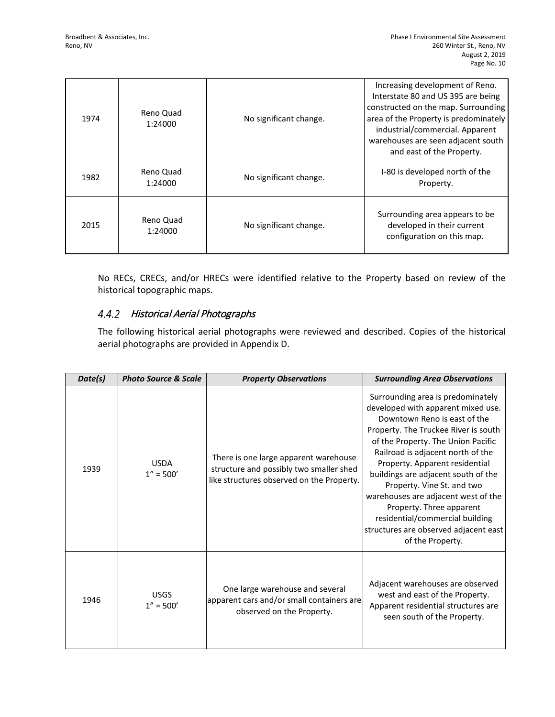| 1974 | Reno Quad<br>1:24000 | No significant change. | Increasing development of Reno.<br>Interstate 80 and US 395 are being<br>constructed on the map. Surrounding<br>area of the Property is predominately<br>industrial/commercial. Apparent<br>warehouses are seen adjacent south<br>and east of the Property. |
|------|----------------------|------------------------|-------------------------------------------------------------------------------------------------------------------------------------------------------------------------------------------------------------------------------------------------------------|
| 1982 | Reno Quad<br>1:24000 | No significant change. | I-80 is developed north of the<br>Property.                                                                                                                                                                                                                 |
| 2015 | Reno Quad<br>1:24000 | No significant change. | Surrounding area appears to be<br>developed in their current<br>configuration on this map.                                                                                                                                                                  |

No RECs, CRECs, and/or HRECs were identified relative to the Property based on review of the historical topographic maps.

### 4.4.2 Historical Aerial Photographs

The following historical aerial photographs were reviewed and described. Copies of the historical aerial photographs are provided in Appendix D.

| Date(s) | <b>Photo Source &amp; Scale</b> | <b>Property Observations</b>                                                                                                  | <b>Surrounding Area Observations</b>                                                                                                                                                                                                                                                                                                                                                                                                                                                                 |
|---------|---------------------------------|-------------------------------------------------------------------------------------------------------------------------------|------------------------------------------------------------------------------------------------------------------------------------------------------------------------------------------------------------------------------------------------------------------------------------------------------------------------------------------------------------------------------------------------------------------------------------------------------------------------------------------------------|
| 1939    | <b>USDA</b><br>$1'' = 500'$     | There is one large apparent warehouse<br>structure and possibly two smaller shed<br>like structures observed on the Property. | Surrounding area is predominately<br>developed with apparent mixed use.<br>Downtown Reno is east of the<br>Property. The Truckee River is south<br>of the Property. The Union Pacific<br>Railroad is adjacent north of the<br>Property. Apparent residential<br>buildings are adjacent south of the<br>Property. Vine St. and two<br>warehouses are adjacent west of the<br>Property. Three apparent<br>residential/commercial building<br>structures are observed adjacent east<br>of the Property. |
| 1946    | <b>USGS</b><br>$1'' = 500'$     | One large warehouse and several<br>apparent cars and/or small containers are<br>observed on the Property.                     | Adjacent warehouses are observed<br>west and east of the Property.<br>Apparent residential structures are<br>seen south of the Property.                                                                                                                                                                                                                                                                                                                                                             |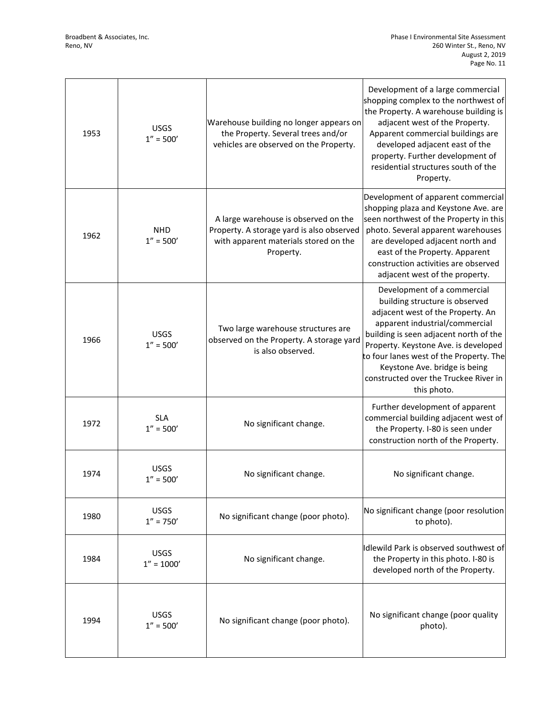| 1953 | <b>USGS</b><br>$1'' = 500'$  | Warehouse building no longer appears on<br>the Property. Several trees and/or<br>vehicles are observed on the Property.                 | Development of a large commercial<br>shopping complex to the northwest of<br>the Property. A warehouse building is<br>adjacent west of the Property.<br>Apparent commercial buildings are<br>developed adjacent east of the<br>property. Further development of<br>residential structures south of the<br>Property.                                        |
|------|------------------------------|-----------------------------------------------------------------------------------------------------------------------------------------|------------------------------------------------------------------------------------------------------------------------------------------------------------------------------------------------------------------------------------------------------------------------------------------------------------------------------------------------------------|
| 1962 | <b>NHD</b><br>$1'' = 500'$   | A large warehouse is observed on the<br>Property. A storage yard is also observed<br>with apparent materials stored on the<br>Property. | Development of apparent commercial<br>shopping plaza and Keystone Ave. are<br>seen northwest of the Property in this<br>photo. Several apparent warehouses<br>are developed adjacent north and<br>east of the Property. Apparent<br>construction activities are observed<br>adjacent west of the property.                                                 |
| 1966 | <b>USGS</b><br>$1'' = 500'$  | Two large warehouse structures are<br>observed on the Property. A storage yard<br>is also observed.                                     | Development of a commercial<br>building structure is observed<br>adjacent west of the Property. An<br>apparent industrial/commercial<br>building is seen adjacent north of the<br>Property. Keystone Ave. is developed<br>to four lanes west of the Property. The<br>Keystone Ave. bridge is being<br>constructed over the Truckee River in<br>this photo. |
| 1972 | <b>SLA</b><br>$1'' = 500'$   | No significant change.                                                                                                                  | Further development of apparent<br>commercial building adjacent west of<br>the Property. I-80 is seen under<br>construction north of the Property.                                                                                                                                                                                                         |
| 1974 | <b>USGS</b><br>$1'' = 500'$  | No significant change.                                                                                                                  | No significant change.                                                                                                                                                                                                                                                                                                                                     |
| 1980 | <b>USGS</b><br>$1'' = 750'$  | No significant change (poor photo).                                                                                                     | No significant change (poor resolution<br>to photo).                                                                                                                                                                                                                                                                                                       |
| 1984 | <b>USGS</b><br>$1'' = 1000'$ | No significant change.                                                                                                                  | Idlewild Park is observed southwest of<br>the Property in this photo. I-80 is<br>developed north of the Property.                                                                                                                                                                                                                                          |
| 1994 | <b>USGS</b><br>$1'' = 500'$  | No significant change (poor photo).                                                                                                     | No significant change (poor quality<br>photo).                                                                                                                                                                                                                                                                                                             |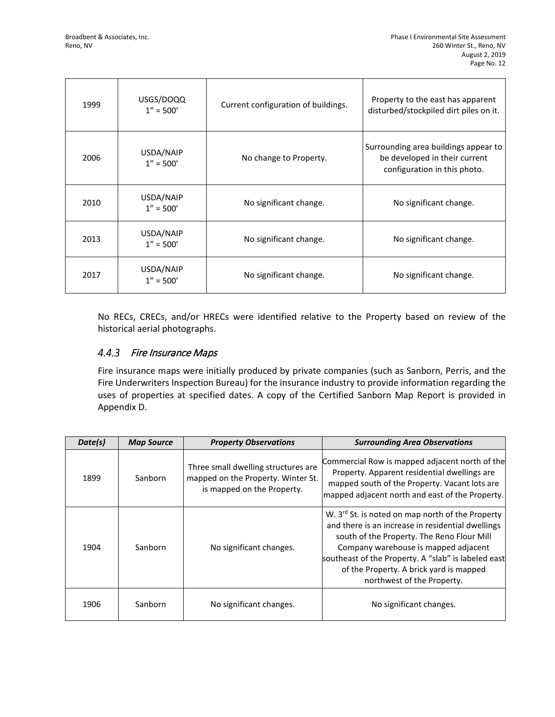| 1999 | USGS/DOQQ<br>$1'' = 500'$ | Current configuration of buildings. | Property to the east has apparent<br>disturbed/stockpiled dirt piles on it.                           |
|------|---------------------------|-------------------------------------|-------------------------------------------------------------------------------------------------------|
| 2006 | USDA/NAIP<br>$1'' = 500'$ | No change to Property.              | Surrounding area buildings appear to<br>be developed in their current<br>configuration in this photo. |
| 2010 | USDA/NAIP<br>$1'' = 500'$ | No significant change.              | No significant change.                                                                                |
| 2013 | USDA/NAIP<br>$1'' = 500'$ | No significant change.              | No significant change.                                                                                |
| 2017 | USDA/NAIP<br>$1'' = 500'$ | No significant change.              | No significant change.                                                                                |

No RECs, CRECs, and/or HRECs were identified relative to the Property based on review of the historical aerial photographs.

#### $4.4.3$ Fire Insurance Maps

Fire insurance maps were initially produced by private companies (such as Sanborn, Perris, and the Fire Underwriters Inspection Bureau) for the insurance industry to provide information regarding the uses of properties at specified dates. A copy of the Certified Sanborn Map Report is provided in Appendix D.

| Date(s) | <b>Map Source</b> | <b>Property Observations</b>                                                                            | <b>Surrounding Area Observations</b>                                                                                                                                                                                                                                                                                                    |
|---------|-------------------|---------------------------------------------------------------------------------------------------------|-----------------------------------------------------------------------------------------------------------------------------------------------------------------------------------------------------------------------------------------------------------------------------------------------------------------------------------------|
| 1899    | Sanborn           | Three small dwelling structures are<br>mapped on the Property. Winter St.<br>is mapped on the Property. | Commercial Row is mapped adjacent north of the<br>Property. Apparent residential dwellings are<br>mapped south of the Property. Vacant lots are<br>mapped adjacent north and east of the Property.                                                                                                                                      |
| 1904    | Sanborn           | No significant changes.                                                                                 | W. 3 <sup>rd</sup> St. is noted on map north of the Property<br>and there is an increase in residential dwellings<br>south of the Property. The Reno Flour Mill<br>Company warehouse is mapped adjacent<br>southeast of the Property. A "slab" is labeled east<br>of the Property. A brick yard is mapped<br>northwest of the Property. |
| 1906    | Sanborn           | No significant changes.                                                                                 | No significant changes.                                                                                                                                                                                                                                                                                                                 |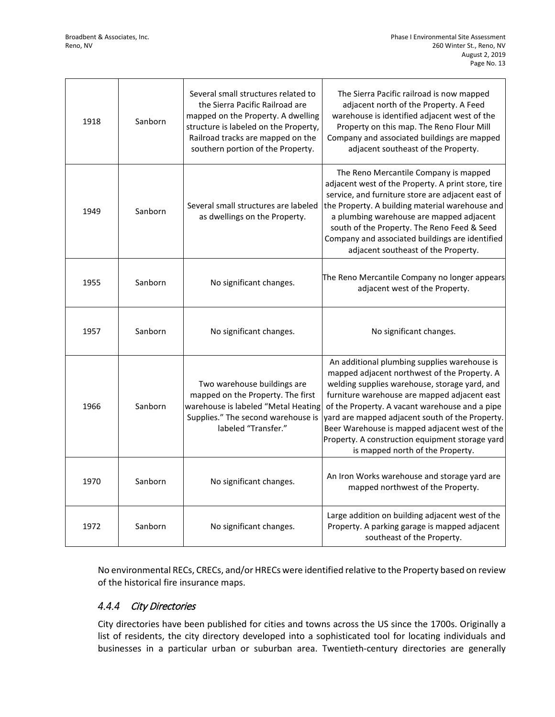| 1918 | Sanborn | Several small structures related to<br>the Sierra Pacific Railroad are<br>mapped on the Property. A dwelling<br>structure is labeled on the Property,<br>Railroad tracks are mapped on the<br>southern portion of the Property. | The Sierra Pacific railroad is now mapped<br>adjacent north of the Property. A Feed<br>warehouse is identified adjacent west of the<br>Property on this map. The Reno Flour Mill<br>Company and associated buildings are mapped<br>adjacent southeast of the Property.                                                                                                                                                                     |
|------|---------|---------------------------------------------------------------------------------------------------------------------------------------------------------------------------------------------------------------------------------|--------------------------------------------------------------------------------------------------------------------------------------------------------------------------------------------------------------------------------------------------------------------------------------------------------------------------------------------------------------------------------------------------------------------------------------------|
| 1949 | Sanborn | Several small structures are labeled<br>as dwellings on the Property.                                                                                                                                                           | The Reno Mercantile Company is mapped<br>adjacent west of the Property. A print store, tire<br>service, and furniture store are adjacent east of<br>the Property. A building material warehouse and<br>a plumbing warehouse are mapped adjacent<br>south of the Property. The Reno Feed & Seed<br>Company and associated buildings are identified<br>adjacent southeast of the Property.                                                   |
| 1955 | Sanborn | No significant changes.                                                                                                                                                                                                         | The Reno Mercantile Company no longer appears<br>adjacent west of the Property.                                                                                                                                                                                                                                                                                                                                                            |
| 1957 | Sanborn | No significant changes.                                                                                                                                                                                                         | No significant changes.                                                                                                                                                                                                                                                                                                                                                                                                                    |
| 1966 | Sanborn | Two warehouse buildings are<br>mapped on the Property. The first<br>warehouse is labeled "Metal Heating<br>Supplies." The second warehouse is<br>labeled "Transfer."                                                            | An additional plumbing supplies warehouse is<br>mapped adjacent northwest of the Property. A<br>welding supplies warehouse, storage yard, and<br>furniture warehouse are mapped adjacent east<br>of the Property. A vacant warehouse and a pipe<br>yard are mapped adjacent south of the Property.<br>Beer Warehouse is mapped adjacent west of the<br>Property. A construction equipment storage yard<br>is mapped north of the Property. |
| 1970 | Sanborn | No significant changes.                                                                                                                                                                                                         | An Iron Works warehouse and storage yard are<br>mapped northwest of the Property.                                                                                                                                                                                                                                                                                                                                                          |
| 1972 | Sanborn | No significant changes.                                                                                                                                                                                                         | Large addition on building adjacent west of the<br>Property. A parking garage is mapped adjacent<br>southeast of the Property.                                                                                                                                                                                                                                                                                                             |

No environmental RECs, CRECs, and/or HRECs were identified relative to the Property based on review of the historical fire insurance maps.

## 4.4.4 City Directories

City directories have been published for cities and towns across the US since the 1700s. Originally a list of residents, the city directory developed into a sophisticated tool for locating individuals and businesses in a particular urban or suburban area. Twentieth-century directories are generally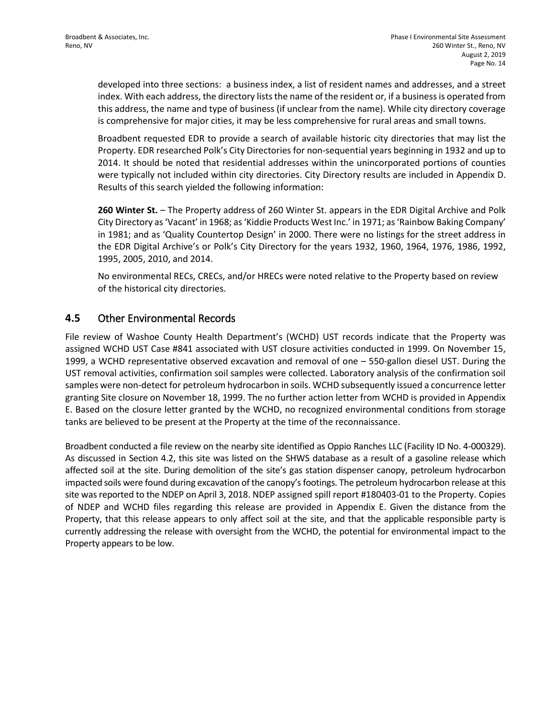developed into three sections: a business index, a list of resident names and addresses, and a street index. With each address, the directory lists the name of the resident or, if a business is operated from this address, the name and type of business (if unclear from the name). While city directory coverage is comprehensive for major cities, it may be less comprehensive for rural areas and small towns.

Broadbent requested EDR to provide a search of available historic city directories that may list the Property. EDR researched Polk's City Directories for non-sequential years beginning in 1932 and up to 2014. It should be noted that residential addresses within the unincorporated portions of counties were typically not included within city directories. City Directory results are included in Appendix D. Results of this search yielded the following information:

**260 Winter St.** – The Property address of 260 Winter St. appears in the EDR Digital Archive and Polk City Directory as 'Vacant' in 1968; as 'Kiddie Products West Inc.' in 1971; as 'Rainbow Baking Company' in 1981; and as 'Quality Countertop Design' in 2000. There were no listings for the street address in the EDR Digital Archive's or Polk's City Directory for the years 1932, 1960, 1964, 1976, 1986, 1992, 1995, 2005, 2010, and 2014.

No environmental RECs, CRECs, and/or HRECs were noted relative to the Property based on review of the historical city directories.

### **4.5** Other Environmental Records

File review of Washoe County Health Department's (WCHD) UST records indicate that the Property was assigned WCHD UST Case #841 associated with UST closure activities conducted in 1999. On November 15, 1999, a WCHD representative observed excavation and removal of one – 550-gallon diesel UST. During the UST removal activities, confirmation soil samples were collected. Laboratory analysis of the confirmation soil samples were non-detect for petroleum hydrocarbon in soils. WCHD subsequently issued a concurrence letter granting Site closure on November 18, 1999. The no further action letter from WCHD is provided in Appendix E. Based on the closure letter granted by the WCHD, no recognized environmental conditions from storage tanks are believed to be present at the Property at the time of the reconnaissance.

Broadbent conducted a file review on the nearby site identified as Oppio Ranches LLC (Facility ID No. 4-000329). As discussed in Section 4.2, this site was listed on the SHWS database as a result of a gasoline release which affected soil at the site. During demolition of the site's gas station dispenser canopy, petroleum hydrocarbon impacted soils were found during excavation of the canopy's footings. The petroleum hydrocarbon release at this site was reported to the NDEP on April 3, 2018. NDEP assigned spill report #180403-01 to the Property. Copies of NDEP and WCHD files regarding this release are provided in Appendix E. Given the distance from the Property, that this release appears to only affect soil at the site, and that the applicable responsible party is currently addressing the release with oversight from the WCHD, the potential for environmental impact to the Property appears to be low.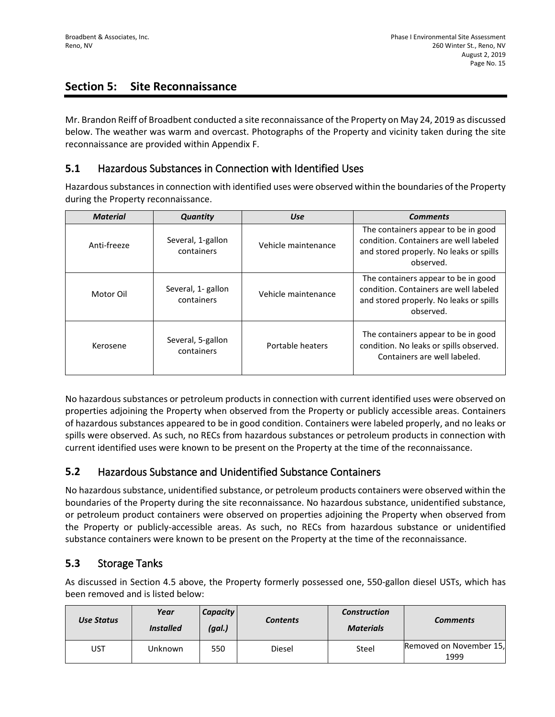# **Section 5: Site Reconnaissance**

Mr. Brandon Reiff of Broadbent conducted a site reconnaissance of the Property on May 24, 2019 as discussed below. The weather was warm and overcast. Photographs of the Property and vicinity taken during the site reconnaissance are provided within Appendix F.

## **5.1** Hazardous Substances in Connection with Identified Uses

Hazardous substances in connection with identified uses were observed within the boundaries of the Property during the Property reconnaissance.

| <b>Material</b> | Quantity                         | <b>Use</b>          | <b>Comments</b>                                                                                                                       |
|-----------------|----------------------------------|---------------------|---------------------------------------------------------------------------------------------------------------------------------------|
| Anti-freeze     | Several, 1-gallon<br>containers  | Vehicle maintenance | The containers appear to be in good<br>condition. Containers are well labeled<br>and stored properly. No leaks or spills<br>observed. |
| Motor Oil       | Several, 1- gallon<br>containers | Vehicle maintenance | The containers appear to be in good<br>condition. Containers are well labeled<br>and stored properly. No leaks or spills<br>observed. |
| Kerosene        | Several, 5-gallon<br>containers  | Portable heaters    | The containers appear to be in good<br>condition. No leaks or spills observed.<br>Containers are well labeled.                        |

No hazardous substances or petroleum products in connection with current identified uses were observed on properties adjoining the Property when observed from the Property or publicly accessible areas. Containers of hazardous substances appeared to be in good condition. Containers were labeled properly, and no leaks or spills were observed. As such, no RECs from hazardous substances or petroleum products in connection with current identified uses were known to be present on the Property at the time of the reconnaissance.

## **5.2** Hazardous Substance and Unidentified Substance Containers

No hazardous substance, unidentified substance, or petroleum products containers were observed within the boundaries of the Property during the site reconnaissance. No hazardous substance, unidentified substance, or petroleum product containers were observed on properties adjoining the Property when observed from the Property or publicly-accessible areas. As such, no RECs from hazardous substance or unidentified substance containers were known to be present on the Property at the time of the reconnaissance.

## **5.3** Storage Tanks

As discussed in Section 4.5 above, the Property formerly possessed one, 550-gallon diesel USTs, which has been removed and is listed below:

| Use Status | Year<br><b>Installed</b> | <b>Capacity</b><br>(gal.) | Contents | <b>Construction</b><br><b>Materials</b> | <b>Comments</b>                 |
|------------|--------------------------|---------------------------|----------|-----------------------------------------|---------------------------------|
| UST        | Unknown                  | 550                       | Diesel   | Steel                                   | Removed on November 15,<br>1999 |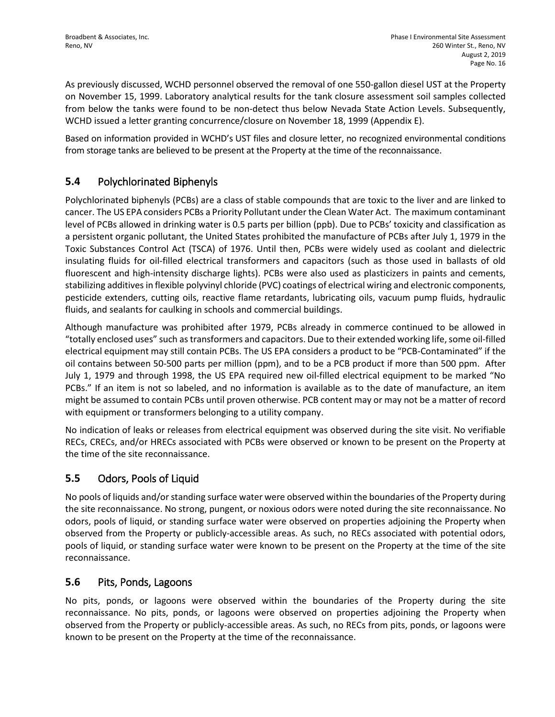As previously discussed, WCHD personnel observed the removal of one 550-gallon diesel UST at the Property on November 15, 1999. Laboratory analytical results for the tank closure assessment soil samples collected from below the tanks were found to be non-detect thus below Nevada State Action Levels. Subsequently, WCHD issued a letter granting concurrence/closure on November 18, 1999 (Appendix E).

Based on information provided in WCHD's UST files and closure letter, no recognized environmental conditions from storage tanks are believed to be present at the Property at the time of the reconnaissance.

# **5.4** Polychlorinated Biphenyls

Polychlorinated biphenyls (PCBs) are a class of stable compounds that are toxic to the liver and are linked to cancer. The US EPA considers PCBs a Priority Pollutant under the Clean Water Act. The maximum contaminant level of PCBs allowed in drinking water is 0.5 parts per billion (ppb). Due to PCBs' toxicity and classification as a persistent organic pollutant, the United States prohibited the manufacture of PCBs after July 1, 1979 in the Toxic Substances Control Act (TSCA) of 1976. Until then, PCBs were widely used as coolant and dielectric insulating fluids for oil-filled electrical transformers and capacitors (such as those used in ballasts of old fluorescent and high-intensity discharge lights). PCBs were also used as plasticizers in paints and cements, stabilizing additives in flexible polyvinyl chloride (PVC) coatings of electrical wiring and electronic components, pesticide extenders, cutting oils, reactive flame retardants, lubricating oils, vacuum pump fluids, hydraulic fluids, and sealants for caulking in schools and commercial buildings.

Although manufacture was prohibited after 1979, PCBs already in commerce continued to be allowed in "totally enclosed uses" such as transformers and capacitors. Due to their extended working life, some oil-filled electrical equipment may still contain PCBs. The US EPA considers a product to be "PCB-Contaminated" if the oil contains between 50-500 parts per million (ppm), and to be a PCB product if more than 500 ppm. After July 1, 1979 and through 1998, the US EPA required new oil-filled electrical equipment to be marked "No PCBs." If an item is not so labeled, and no information is available as to the date of manufacture, an item might be assumed to contain PCBs until proven otherwise. PCB content may or may not be a matter of record with equipment or transformers belonging to a utility company.

No indication of leaks or releases from electrical equipment was observed during the site visit. No verifiable RECs, CRECs, and/or HRECs associated with PCBs were observed or known to be present on the Property at the time of the site reconnaissance.

# **5.5** Odors, Pools of Liquid

No pools of liquids and/or standing surface water were observed within the boundaries of the Property during the site reconnaissance. No strong, pungent, or noxious odors were noted during the site reconnaissance. No odors, pools of liquid, or standing surface water were observed on properties adjoining the Property when observed from the Property or publicly-accessible areas. As such, no RECs associated with potential odors, pools of liquid, or standing surface water were known to be present on the Property at the time of the site reconnaissance.

## **5.6** Pits, Ponds, Lagoons

No pits, ponds, or lagoons were observed within the boundaries of the Property during the site reconnaissance. No pits, ponds, or lagoons were observed on properties adjoining the Property when observed from the Property or publicly-accessible areas. As such, no RECs from pits, ponds, or lagoons were known to be present on the Property at the time of the reconnaissance.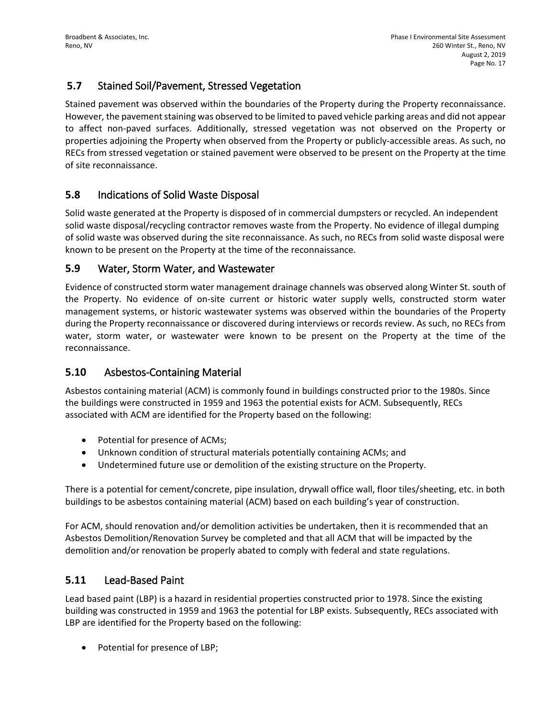## **5.7** Stained Soil/Pavement, Stressed Vegetation

Stained pavement was observed within the boundaries of the Property during the Property reconnaissance. However, the pavement staining was observed to be limited to paved vehicle parking areas and did not appear to affect non-paved surfaces. Additionally, stressed vegetation was not observed on the Property or properties adjoining the Property when observed from the Property or publicly-accessible areas. As such, no RECs from stressed vegetation or stained pavement were observed to be present on the Property at the time of site reconnaissance.

### **5.8** Indications of Solid Waste Disposal

Solid waste generated at the Property is disposed of in commercial dumpsters or recycled. An independent solid waste disposal/recycling contractor removes waste from the Property. No evidence of illegal dumping of solid waste was observed during the site reconnaissance. As such, no RECs from solid waste disposal were known to be present on the Property at the time of the reconnaissance.

### **5.9** Water, Storm Water, and Wastewater

Evidence of constructed storm water management drainage channels was observed along Winter St. south of the Property. No evidence of on-site current or historic water supply wells, constructed storm water management systems, or historic wastewater systems was observed within the boundaries of the Property during the Property reconnaissance or discovered during interviews or records review. As such, no RECs from water, storm water, or wastewater were known to be present on the Property at the time of the reconnaissance.

## **5.10** Asbestos-Containing Material

Asbestos containing material (ACM) is commonly found in buildings constructed prior to the 1980s. Since the buildings were constructed in 1959 and 1963 the potential exists for ACM. Subsequently, RECs associated with ACM are identified for the Property based on the following:

- Potential for presence of ACMs;
- Unknown condition of structural materials potentially containing ACMs; and
- Undetermined future use or demolition of the existing structure on the Property.

There is a potential for cement/concrete, pipe insulation, drywall office wall, floor tiles/sheeting, etc. in both buildings to be asbestos containing material (ACM) based on each building's year of construction.

For ACM, should renovation and/or demolition activities be undertaken, then it is recommended that an Asbestos Demolition/Renovation Survey be completed and that all ACM that will be impacted by the demolition and/or renovation be properly abated to comply with federal and state regulations.

## **5.11** Lead-Based Paint

Lead based paint (LBP) is a hazard in residential properties constructed prior to 1978. Since the existing building was constructed in 1959 and 1963 the potential for LBP exists. Subsequently, RECs associated with LBP are identified for the Property based on the following:

• Potential for presence of LBP;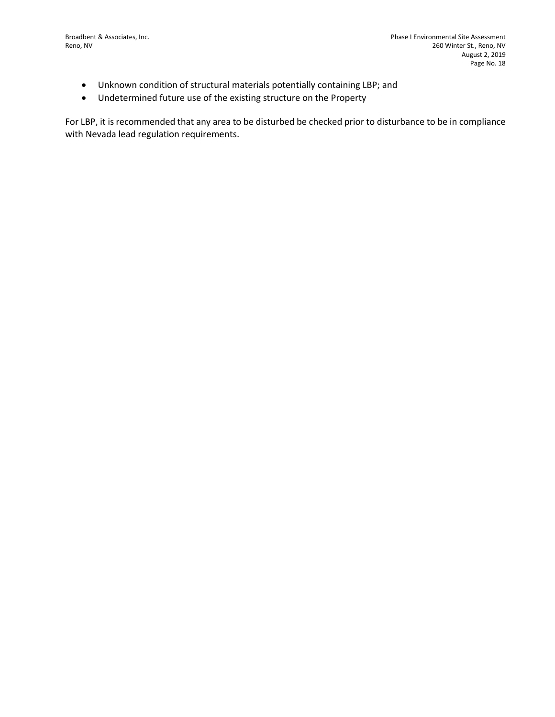- Unknown condition of structural materials potentially containing LBP; and
- Undetermined future use of the existing structure on the Property

For LBP, it is recommended that any area to be disturbed be checked prior to disturbance to be in compliance with Nevada lead regulation requirements.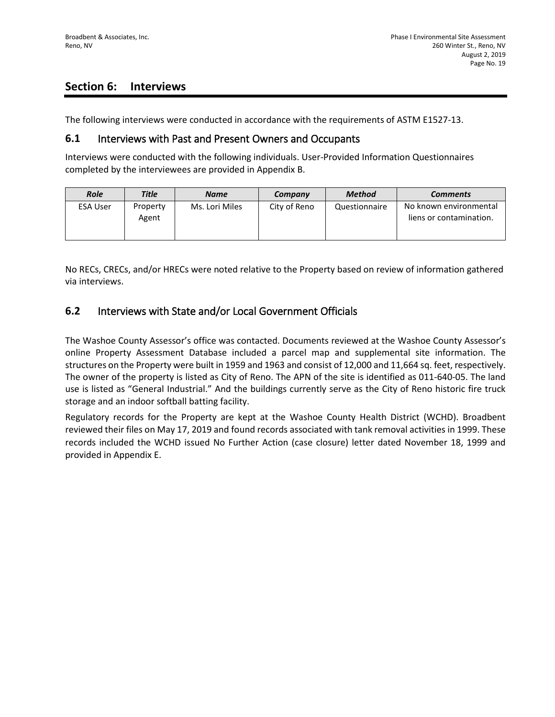## **Section 6: Interviews**

The following interviews were conducted in accordance with the requirements of ASTM E1527-13.

### **6.1** Interviews with Past and Present Owners and Occupants

Interviews were conducted with the following individuals. User-Provided Information Questionnaires completed by the interviewees are provided in Appendix B.

| <b>Role</b>     | <b>Title</b>      | <b>Name</b>    | Company      | Method        | <b>Comments</b>                                   |
|-----------------|-------------------|----------------|--------------|---------------|---------------------------------------------------|
| <b>ESA User</b> | Property<br>Agent | Ms. Lori Miles | City of Reno | Questionnaire | No known environmental<br>liens or contamination. |

No RECs, CRECs, and/or HRECs were noted relative to the Property based on review of information gathered via interviews.

### **6.2** Interviews with State and/or Local Government Officials

The Washoe County Assessor's office was contacted. Documents reviewed at the Washoe County Assessor's online Property Assessment Database included a parcel map and supplemental site information. The structures on the Property were built in 1959 and 1963 and consist of 12,000 and 11,664 sq. feet, respectively. The owner of the property is listed as City of Reno. The APN of the site is identified as 011-640-05. The land use is listed as "General Industrial." And the buildings currently serve as the City of Reno historic fire truck storage and an indoor softball batting facility.

Regulatory records for the Property are kept at the Washoe County Health District (WCHD). Broadbent reviewed their files on May 17, 2019 and found records associated with tank removal activities in 1999. These records included the WCHD issued No Further Action (case closure) letter dated November 18, 1999 and provided in Appendix E.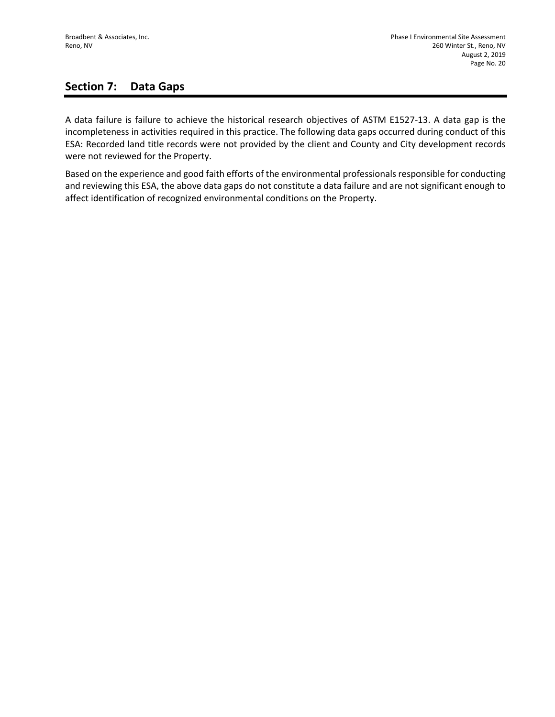## **Section 7: Data Gaps**

A data failure is failure to achieve the historical research objectives of ASTM E1527-13. A data gap is the incompleteness in activities required in this practice. The following data gaps occurred during conduct of this ESA: Recorded land title records were not provided by the client and County and City development records were not reviewed for the Property.

Based on the experience and good faith efforts of the environmental professionals responsible for conducting and reviewing this ESA, the above data gaps do not constitute a data failure and are not significant enough to affect identification of recognized environmental conditions on the Property.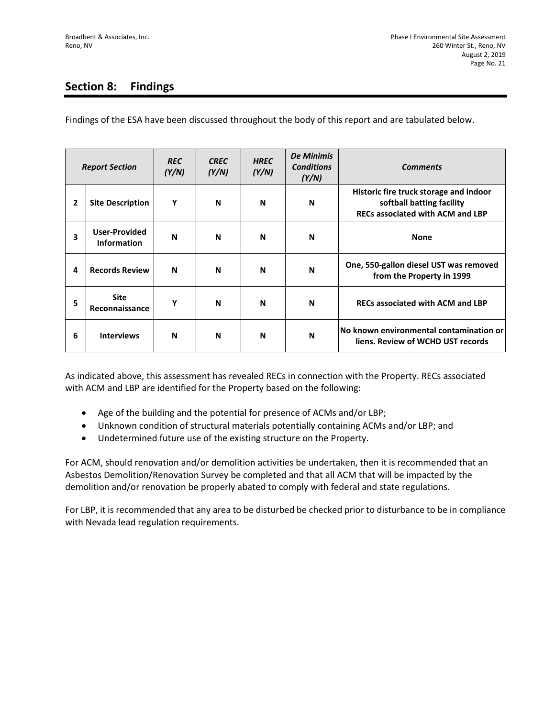# **Section 8: Findings**

Findings of the ESA have been discussed throughout the body of this report and are tabulated below.

|                | <b>Report Section</b>                      | <b>REC</b><br>(Y/N) | <b>CREC</b><br>(Y/N) | <b>HREC</b><br>(Y/N) | <b>De Minimis</b><br><b>Conditions</b><br>(Y/N) | <b>Comments</b>                                                                                                |
|----------------|--------------------------------------------|---------------------|----------------------|----------------------|-------------------------------------------------|----------------------------------------------------------------------------------------------------------------|
| $\overline{2}$ | <b>Site Description</b>                    | Y                   | N                    | N                    | N                                               | Historic fire truck storage and indoor<br>softball batting facility<br><b>RECs associated with ACM and LBP</b> |
| 3              | <b>User-Provided</b><br><b>Information</b> | N                   | N                    | N                    | N                                               | <b>None</b>                                                                                                    |
| 4              | <b>Records Review</b>                      | N                   | N                    | N                    | N                                               | One, 550-gallon diesel UST was removed<br>from the Property in 1999                                            |
| 5              | <b>Site</b><br>Reconnaissance              | Y                   | N                    | N                    | N                                               | <b>RECs associated with ACM and LBP</b>                                                                        |
| 6              | <b>Interviews</b>                          | N                   | N                    | N                    | N                                               | No known environmental contamination or<br>liens. Review of WCHD UST records                                   |

As indicated above, this assessment has revealed RECs in connection with the Property. RECs associated with ACM and LBP are identified for the Property based on the following:

- Age of the building and the potential for presence of ACMs and/or LBP;
- Unknown condition of structural materials potentially containing ACMs and/or LBP; and
- Undetermined future use of the existing structure on the Property.

For ACM, should renovation and/or demolition activities be undertaken, then it is recommended that an Asbestos Demolition/Renovation Survey be completed and that all ACM that will be impacted by the demolition and/or renovation be properly abated to comply with federal and state regulations.

For LBP, it is recommended that any area to be disturbed be checked prior to disturbance to be in compliance with Nevada lead regulation requirements.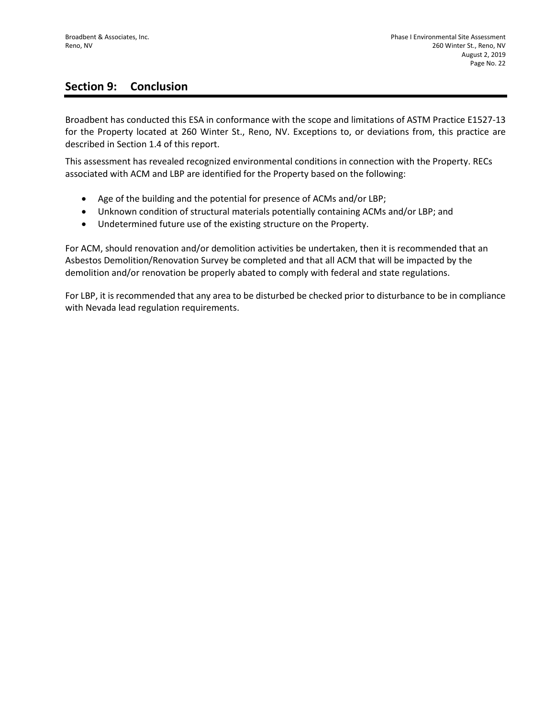## **Section 9: Conclusion**

Broadbent has conducted this ESA in conformance with the scope and limitations of ASTM Practice E1527-13 for the Property located at 260 Winter St., Reno, NV. Exceptions to, or deviations from, this practice are described in Section 1.4 of this report.

This assessment has revealed recognized environmental conditions in connection with the Property. RECs associated with ACM and LBP are identified for the Property based on the following:

- Age of the building and the potential for presence of ACMs and/or LBP;
- Unknown condition of structural materials potentially containing ACMs and/or LBP; and
- Undetermined future use of the existing structure on the Property.

For ACM, should renovation and/or demolition activities be undertaken, then it is recommended that an Asbestos Demolition/Renovation Survey be completed and that all ACM that will be impacted by the demolition and/or renovation be properly abated to comply with federal and state regulations.

For LBP, it is recommended that any area to be disturbed be checked prior to disturbance to be in compliance with Nevada lead regulation requirements.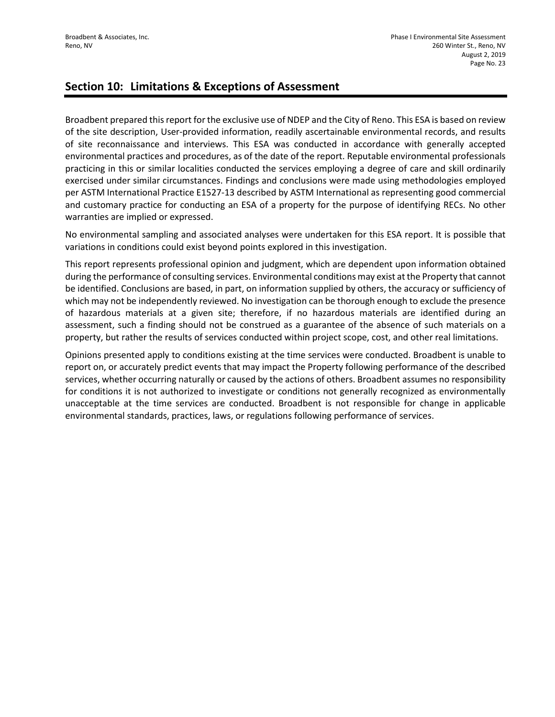## **Section 10: Limitations & Exceptions of Assessment**

Broadbent prepared this report for the exclusive use of NDEP and the City of Reno. This ESA is based on review of the site description, User-provided information, readily ascertainable environmental records, and results of site reconnaissance and interviews. This ESA was conducted in accordance with generally accepted environmental practices and procedures, as of the date of the report. Reputable environmental professionals practicing in this or similar localities conducted the services employing a degree of care and skill ordinarily exercised under similar circumstances. Findings and conclusions were made using methodologies employed per ASTM International Practice E1527-13 described by ASTM International as representing good commercial and customary practice for conducting an ESA of a property for the purpose of identifying RECs. No other warranties are implied or expressed.

No environmental sampling and associated analyses were undertaken for this ESA report. It is possible that variations in conditions could exist beyond points explored in this investigation.

This report represents professional opinion and judgment, which are dependent upon information obtained during the performance of consulting services. Environmental conditions may exist at the Property that cannot be identified. Conclusions are based, in part, on information supplied by others, the accuracy or sufficiency of which may not be independently reviewed. No investigation can be thorough enough to exclude the presence of hazardous materials at a given site; therefore, if no hazardous materials are identified during an assessment, such a finding should not be construed as a guarantee of the absence of such materials on a property, but rather the results of services conducted within project scope, cost, and other real limitations.

Opinions presented apply to conditions existing at the time services were conducted. Broadbent is unable to report on, or accurately predict events that may impact the Property following performance of the described services, whether occurring naturally or caused by the actions of others. Broadbent assumes no responsibility for conditions it is not authorized to investigate or conditions not generally recognized as environmentally unacceptable at the time services are conducted. Broadbent is not responsible for change in applicable environmental standards, practices, laws, or regulations following performance of services.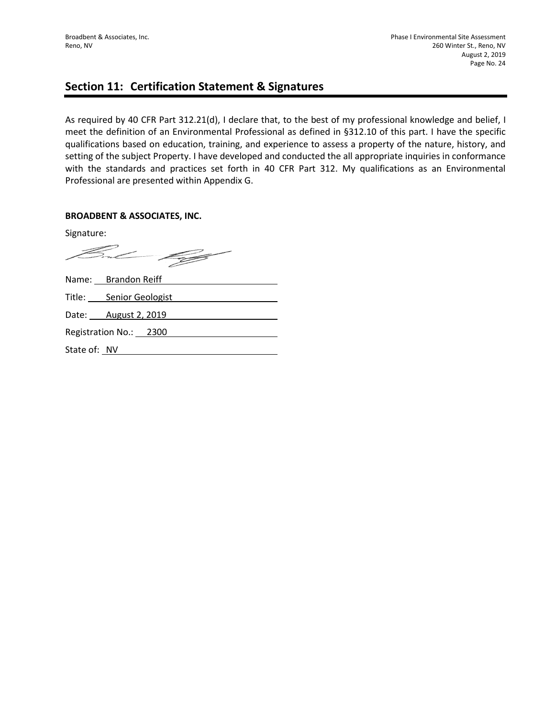### **Section 11: Certification Statement & Signatures**

As required by 40 CFR Part 312.21(d), I declare that, to the best of my professional knowledge and belief, I meet the definition of an Environmental Professional as defined in §312.10 of this part. I have the specific qualifications based on education, training, and experience to assess a property of the nature, history, and setting of the subject Property. I have developed and conducted the all appropriate inquiries in conformance with the standards and practices set forth in 40 CFR Part 312. My qualifications as an Environmental Professional are presented within Appendix G.

### **BROADBENT & ASSOCIATES, INC.**

Signature:

But 199

|              | Name: Brandon Reiff     |
|--------------|-------------------------|
|              | Title: Senior Geologist |
|              | Date: August 2, 2019    |
|              | Registration No.: 2300  |
| State of: NV |                         |